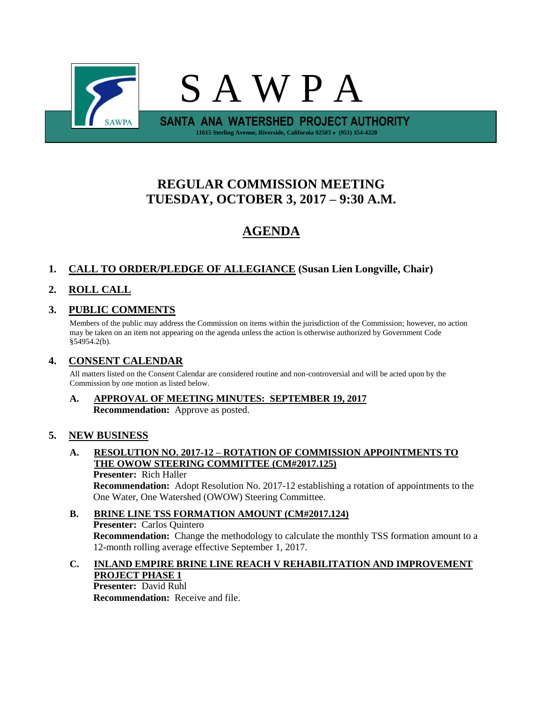

# **REGULAR COMMISSION MEETING TUESDAY, OCTOBER 3, 2017 – 9:30 A.M.**

# **AGENDA**

## **1. CALL TO ORDER/PLEDGE OF ALLEGIANCE (Susan Lien Longville, Chair)**

## **2. ROLL CALL**

### **3. PUBLIC COMMENTS**

Members of the public may address the Commission on items within the jurisdiction of the Commission; however, no action may be taken on an item not appearing on the agenda unless the action is otherwise authorized by Government Code §54954.2(b).

### **4. CONSENT CALENDAR**

All matters listed on the Consent Calendar are considered routine and non-controversial and will be acted upon by the Commission by one motion as listed below.

### **A. APPROVAL OF MEETING MINUTES: SEPTEMBER 19, 2017 Recommendation:** Approve as posted.

### **5. NEW BUSINESS**

### **A. RESOLUTION NO. 2017-12 – ROTATION OF COMMISSION APPOINTMENTS TO THE OWOW STEERING COMMITTEE (CM#2017.125) Presenter:** Rich Haller

**Recommendation:** Adopt Resolution No. 2017-12 establishing a rotation of appointments to the One Water, One Watershed (OWOW) Steering Committee.

### **B. BRINE LINE TSS FORMATION AMOUNT (CM#2017.124) Presenter:** Carlos Quintero **Recommendation:** Change the methodology to calculate the monthly TSS formation amount to a 12-month rolling average effective September 1, 2017.

# **C. INLAND EMPIRE BRINE LINE REACH V REHABILITATION AND IMPROVEMENT PROJECT PHASE 1**

**Presenter:** David Ruhl **Recommendation:** Receive and file.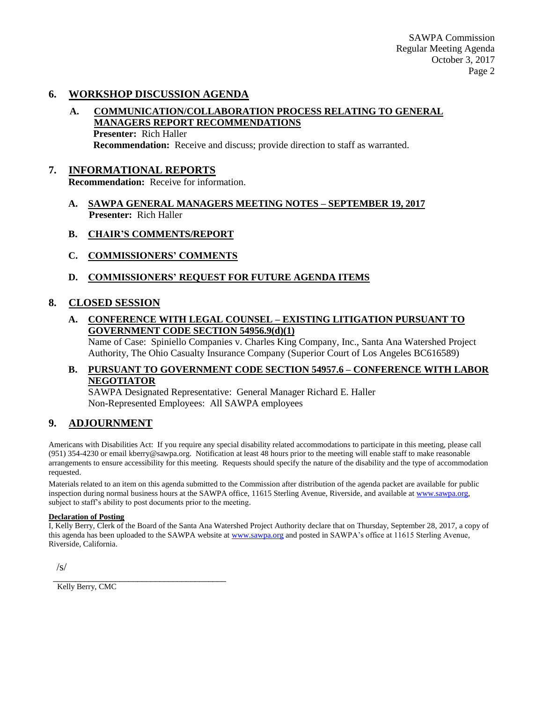SAWPA Commission Regular Meeting Agenda October 3, 2017 Page 2

#### **6. WORKSHOP DISCUSSION AGENDA**

### **A. COMMUNICATION/COLLABORATION PROCESS RELATING TO GENERAL MANAGERS REPORT RECOMMENDATIONS**

**Presenter:** Rich Haller **Recommendation:** Receive and discuss; provide direction to staff as warranted.

#### **7. INFORMATIONAL REPORTS**

**Recommendation:** Receive for information.

- **A. SAWPA GENERAL MANAGERS MEETING NOTES – SEPTEMBER 19, 2017 Presenter:** Rich Haller
- **B. CHAIR'S COMMENTS/REPORT**
- **C. COMMISSIONERS' COMMENTS**

#### **D. COMMISSIONERS' REQUEST FOR FUTURE AGENDA ITEMS**

#### **8. CLOSED SESSION**

**A. CONFERENCE WITH LEGAL COUNSEL – EXISTING LITIGATION PURSUANT TO GOVERNMENT CODE SECTION 54956.9(d)(1)**

Name of Case: Spiniello Companies v. Charles King Company, Inc., Santa Ana Watershed Project Authority, The Ohio Casualty Insurance Company (Superior Court of Los Angeles BC616589)

### **B. PURSUANT TO GOVERNMENT CODE SECTION 54957.6 – CONFERENCE WITH LABOR NEGOTIATOR**

SAWPA Designated Representative: General Manager Richard E. Haller Non-Represented Employees: All SAWPA employees

### **9. ADJOURNMENT**

Americans with Disabilities Act: If you require any special disability related accommodations to participate in this meeting, please call (951) 354-4230 or email kberry@sawpa.org. Notification at least 48 hours prior to the meeting will enable staff to make reasonable arrangements to ensure accessibility for this meeting. Requests should specify the nature of the disability and the type of accommodation requested.

Materials related to an item on this agenda submitted to the Commission after distribution of the agenda packet are available for public inspection during normal business hours at the SAWPA office, 11615 Sterling Avenue, Riverside, and available a[t www.sawpa.org,](http://www.sawpa.org/) subject to staff's ability to post documents prior to the meeting.

#### **Declaration of Posting**

I, Kelly Berry, Clerk of the Board of the Santa Ana Watershed Project Authority declare that on Thursday, September 28, 2017, a copy of this agenda has been uploaded to the SAWPA website at [www.sawpa.org](http://www.sawpa.org/) and posted in SAWPA's office at 11615 Sterling Avenue, Riverside, California.

/s/

\_\_\_\_\_\_\_\_\_\_\_\_\_\_\_\_\_\_\_\_\_\_\_\_\_\_\_\_\_\_\_\_\_\_\_\_\_\_\_ Kelly Berry, CMC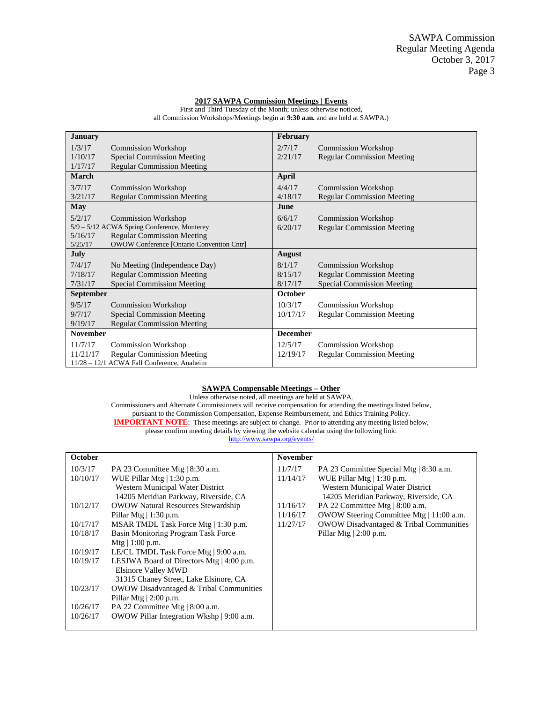#### **2017 SAWPA Commission Meetings | Events**

First and Third Tuesday of the Month; unless otherwise noticed, all Commission Workshops/Meetings begin at **9:30 a.m.** and are held at SAWPA.)

| <b>January</b>                              |                                                  | <b>February</b> |                                   |
|---------------------------------------------|--------------------------------------------------|-----------------|-----------------------------------|
| 1/3/17                                      | <b>Commission Workshop</b>                       | 2/7/17          | <b>Commission Workshop</b>        |
| 1/10/17                                     | <b>Special Commission Meeting</b>                | 2/21/17         | <b>Regular Commission Meeting</b> |
| 1/17/17                                     | <b>Regular Commission Meeting</b>                |                 |                                   |
| <b>March</b>                                |                                                  | <b>April</b>    |                                   |
| 3/7/17                                      | <b>Commission Workshop</b>                       | 4/4/17          | <b>Commission Workshop</b>        |
| 3/21/17                                     | <b>Regular Commission Meeting</b>                | 4/18/17         | <b>Regular Commission Meeting</b> |
| May                                         |                                                  | June            |                                   |
| 5/2/17                                      | <b>Commission Workshop</b>                       | 6/6/17          | <b>Commission Workshop</b>        |
| 5/9 - 5/12 ACWA Spring Conference, Monterey |                                                  | 6/20/17         | <b>Regular Commission Meeting</b> |
| 5/16/17                                     | <b>Regular Commission Meeting</b>                |                 |                                   |
| 5/25/17                                     | <b>OWOW Conference [Ontario Convention Cntr]</b> |                 |                                   |
| July                                        |                                                  | August          |                                   |
| 7/4/17                                      | No Meeting (Independence Day)                    | 8/1/17          | <b>Commission Workshop</b>        |
| 7/18/17                                     | <b>Regular Commission Meeting</b>                | 8/15/17         | <b>Regular Commission Meeting</b> |
| 7/31/17                                     | <b>Special Commission Meeting</b>                | 8/17/17         | <b>Special Commission Meeting</b> |
| September                                   |                                                  | <b>October</b>  |                                   |
| 9/5/17                                      | <b>Commission Workshop</b>                       | 10/3/17         | <b>Commission Workshop</b>        |
| 9/7/17                                      | <b>Special Commission Meeting</b>                | 10/17/17        | <b>Regular Commission Meeting</b> |
| 9/19/17                                     | <b>Regular Commission Meeting</b>                |                 |                                   |
| <b>November</b>                             |                                                  | <b>December</b> |                                   |
| 11/7/17                                     | <b>Commission Workshop</b>                       | 12/5/17         | <b>Commission Workshop</b>        |
| 11/21/17                                    | <b>Regular Commission Meeting</b>                | 12/19/17        | <b>Regular Commission Meeting</b> |
| 11/28 - 12/1 ACWA Fall Conference, Anaheim  |                                                  |                 |                                   |

#### **SAWPA Compensable Meetings – Other**

Unless otherwise noted, all meetings are held at SAWPA. Commissioners and Alternate Commissioners will receive compensation for attending the meetings listed below, pursuant to the Commission Compensation, Expense Reimbursement, and Ethics Training Policy. **IMPORTANT NOTE**: These meetings are subject to change. Prior to attending any meeting listed below, please confirm meeting details by viewing the website calendar using the following link: <http://www.sawpa.org/events/>

| <b>October</b> |                                                     | <b>November</b> |                                          |
|----------------|-----------------------------------------------------|-----------------|------------------------------------------|
| 10/3/17        | PA 23 Committee Mtg $ 8:30$ a.m.                    | 11/7/17         | PA 23 Committee Special Mtg   8:30 a.m.  |
| 10/10/17       | WUE Pillar Mtg $  1:30$ p.m.                        | 11/14/17        | WUE Pillar Mtg $  1:30$ p.m.             |
|                | Western Municipal Water District                    |                 | Western Municipal Water District         |
|                | 14205 Meridian Parkway, Riverside, CA               |                 | 14205 Meridian Parkway, Riverside, CA    |
| 10/12/17       | <b>OWOW Natural Resources Stewardship</b>           | 11/16/17        | PA 22 Committee Mtg   8:00 a.m.          |
|                | Pillar Mtg   1:30 p.m.                              | 11/16/17        | OWOW Steering Committee Mtg   11:00 a.m. |
| 10/17/17       | MSAR TMDL Task Force Mtg   1:30 p.m.                | 11/27/17        | OWOW Disadvantaged & Tribal Communities  |
| 10/18/17       | Basin Monitoring Program Task Force                 |                 | Pillar Mtg $ 2:00$ p.m.                  |
|                | Mtg $  1:00 p.m.$                                   |                 |                                          |
| 10/19/17       | LE/CL TMDL Task Force Mtg   9:00 a.m.               |                 |                                          |
| 10/19/17       | LESJWA Board of Directors Mtg $ 4:00 \text{ p.m.} $ |                 |                                          |
|                | <b>Elsinore Valley MWD</b>                          |                 |                                          |
|                | 31315 Chaney Street, Lake Elsinore, CA              |                 |                                          |
| 10/23/17       | OWOW Disadvantaged & Tribal Communities             |                 |                                          |
|                | Pillar Mtg $ 2:00$ p.m.                             |                 |                                          |
| 10/26/17       | PA 22 Committee Mtg   8:00 a.m.                     |                 |                                          |
| 10/26/17       | OWOW Pillar Integration Wkshp   9:00 a.m.           |                 |                                          |
|                |                                                     |                 |                                          |